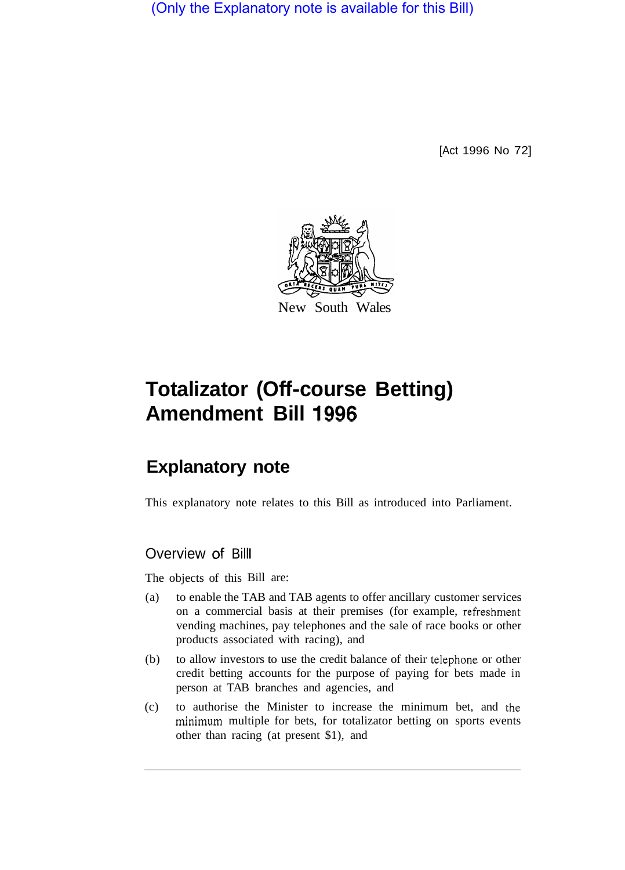(Only the Explanatory note is available for this Bill)

[Act 1996 No 72]



# **Totalizator (Off-course Betting) Amendment Bill 1996**

## **Explanatory note**

This explanatory note relates to this Bill as introduced into Parliament.

## Overview of Billl

The objects of this Bill are:

- (a) to enable the TAB and TAB agents to offer ancillary customer services on a commercial basis at their premises (for example, refreshment vending machines, pay telephones and the sale of race books or other products associated with racing), and
- (b) to allow investors to use the credit balance of their telephone or other credit betting accounts for the purpose of paying for bets made in person at TAB branches and agencies, and
- (c) to authorise the Minister to increase the minimum bet, and the minimum multiple for bets, for totalizator betting on sports events other than racing (at present \$1), and